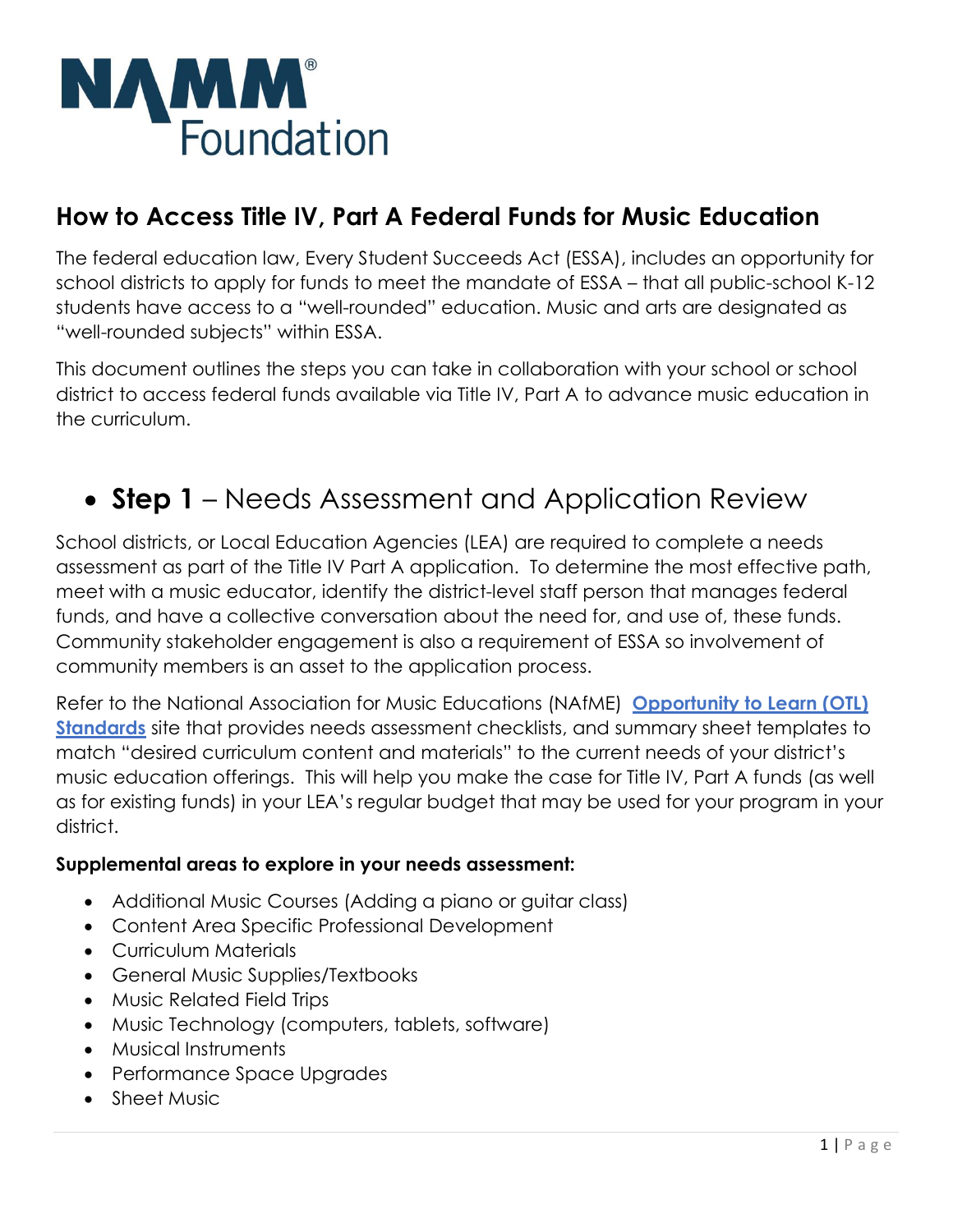

## **How to Access Title IV, Part A Federal Funds for Music Education**

The federal education law, Every Student Succeeds Act (ESSA), includes an opportunity for school districts to apply for funds to meet the mandate of ESSA – that all public-school K-12 students have access to a "well-rounded" education. Music and arts are designated as "well-rounded subjects" within ESSA.

This document outlines the steps you can take in collaboration with your school or school district to access federal funds available via Title IV, Part A to advance music education in the curriculum.

## • **Step 1** – Needs Assessment and Application Review

School districts, or Local Education Agencies (LEA) are required to complete a needs assessment as part of the Title IV Part A application. To determine the most effective path, meet with a music educator, identify the district-level staff person that manages federal funds, and have a collective conversation about the need for, and use of, these funds. Community stakeholder engagement is also a requirement of ESSA so involvement of community members is an asset to the application process.

Refer to the National Association for Music Educations (NAfME) **[Opportunity to Learn \(OTL\)](https://nafme.org/archived-webinar-otls-title-iv-lynn-tuttle-ronny-lau/)  [Standards](https://nafme.org/archived-webinar-otls-title-iv-lynn-tuttle-ronny-lau/)** site that provides needs assessment checklists, and summary sheet templates to match "desired curriculum content and materials" to the current needs of your district's music education offerings. This will help you make the case for Title IV, Part A funds (as well as for existing funds) in your LEA's regular budget that may be used for your program in your district.

### **Supplemental areas to explore in your needs assessment:**

- Additional Music Courses (Adding a piano or guitar class)
- Content Area Specific Professional Development
- Curriculum Materials
- General Music Supplies/Textbooks
- Music Related Field Trips
- Music Technology (computers, tablets, software)
- Musical Instruments
- Performance Space Upgrades
- Sheet Music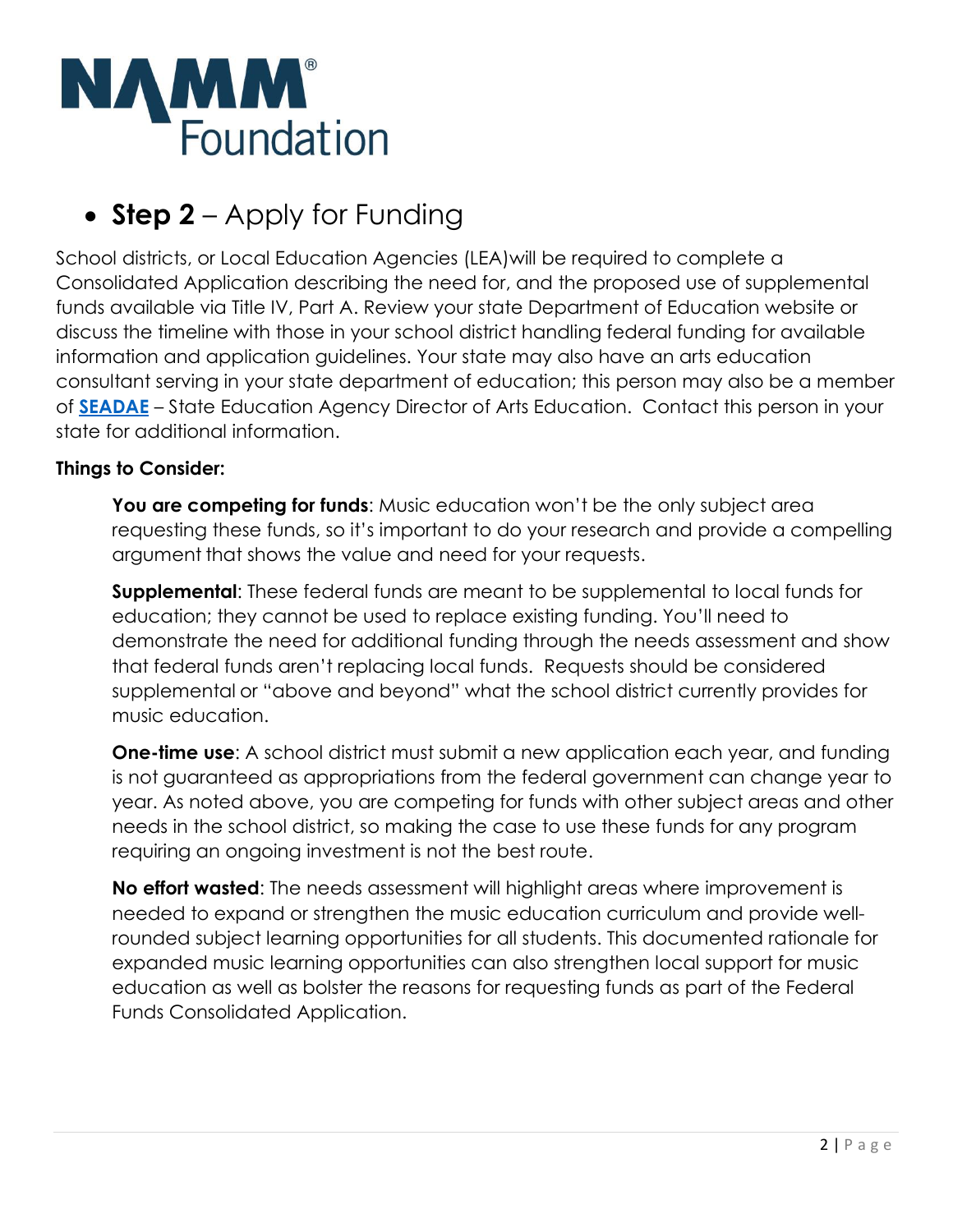

# • **Step 2** – Apply for Funding

School districts, or Local Education Agencies (LEA) will be required to complete a Consolidated Application describing the need for, and the proposed use of supplemental funds available via Title IV, Part A. Review your state Department of Education website or discuss the timeline with those in your school district handling federal funding for available information and application guidelines. Your state may also have an arts education consultant serving in your state department of education; this person may also be a member of **[SEADAE](http://www.seadae.org/)** – State Education Agency Director of Arts Education. Contact this person in your state for additional information.

### **Things to Consider:**

**You are competing for funds:** Music education won't be the only subject area requesting these funds, so it's important to do your research and provide a compelling argument that shows the value and need for your requests.

**Supplemental**: These federal funds are meant to be supplemental to local funds for education; they cannot be used to replace existing funding. You'll need to demonstrate the need for additional funding through the needs assessment and show that federal funds aren't replacing local funds. Requests should be considered supplemental or "above and beyond" what the school district currently provides for music education.

**One-time use:** A school district must submit a new application each year, and funding is not guaranteed as appropriations from the federal government can change year to year. As noted above, you are competing for funds with other subject areas and other needs in the school district, so making the case to use these funds for any program requiring an ongoing investment is not the best route.

**No effort wasted**: The needs assessment will highlight areas where improvement is needed to expand or strengthen the music education curriculum and provide wellrounded subject learning opportunities for all students. This documented rationale for expanded music learning opportunities can also strengthen local support for music education as well as bolster the reasons for requesting funds as part of the Federal Funds Consolidated Application.